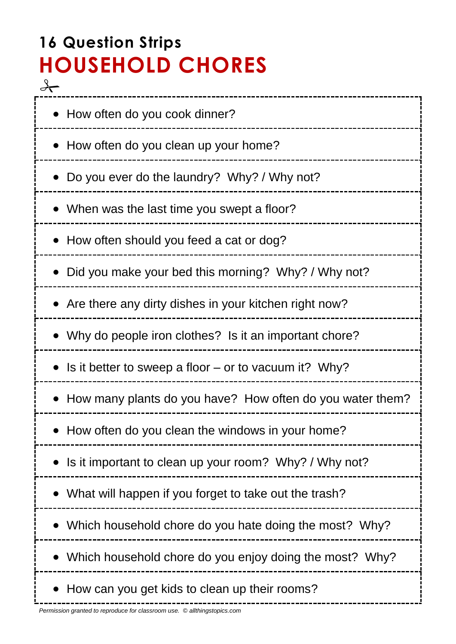# **16 Question Strips HOUSEHOLD CHORES**  $\frac{1}{\sqrt{2}}$

| • How often do you cook dinner?                           |
|-----------------------------------------------------------|
| • How often do you clean up your home?                    |
| • Do you ever do the laundry? Why? / Why not?             |
| • When was the last time you swept a floor?               |
| How often should you feed a cat or dog?                   |
| • Did you make your bed this morning? Why? / Why not?     |
| • Are there any dirty dishes in your kitchen right now?   |
| • Why do people iron clothes? Is it an important chore?   |
| Is it better to sweep a floor $-$ or to vacuum it? Why?   |
| How many plants do you have? How often do you water them? |
| How often do you clean the windows in your home?          |
| Is it important to clean up your room? Why? / Why not?    |
| What will happen if you forget to take out the trash?     |
| Which household chore do you hate doing the most? Why?    |
| Which household chore do you enjoy doing the most? Why?   |
| How can you get kids to clean up their rooms?             |

----------------------------------

j.